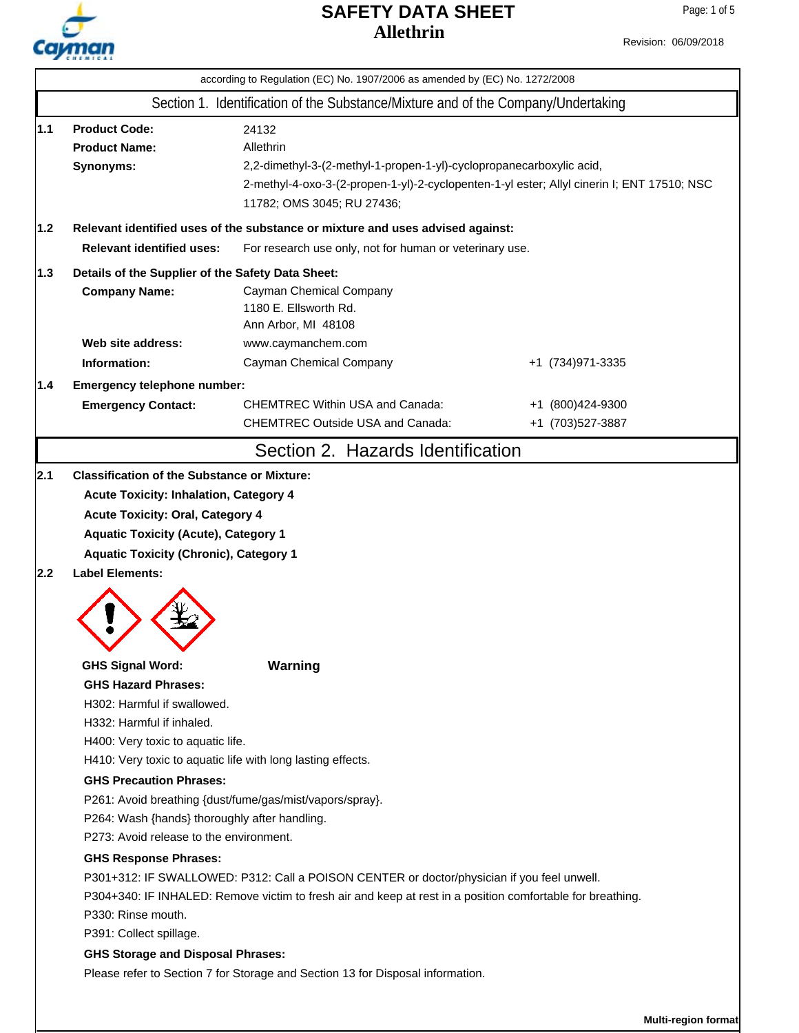

Revision: 06/09/2018

|     | according to Regulation (EC) No. 1907/2006 as amended by (EC) No. 1272/2008                                                                                                                                                                                                                                                                                                                                                                                                                                                                                                                                                                                                                                                                                                                                                                           |                                                                                   |                                       |  |  |  |  |  |
|-----|-------------------------------------------------------------------------------------------------------------------------------------------------------------------------------------------------------------------------------------------------------------------------------------------------------------------------------------------------------------------------------------------------------------------------------------------------------------------------------------------------------------------------------------------------------------------------------------------------------------------------------------------------------------------------------------------------------------------------------------------------------------------------------------------------------------------------------------------------------|-----------------------------------------------------------------------------------|---------------------------------------|--|--|--|--|--|
|     | Section 1. Identification of the Substance/Mixture and of the Company/Undertaking                                                                                                                                                                                                                                                                                                                                                                                                                                                                                                                                                                                                                                                                                                                                                                     |                                                                                   |                                       |  |  |  |  |  |
| 1.1 | <b>Product Code:</b><br>24132<br><b>Product Name:</b><br>Allethrin<br>Synonyms:<br>2,2-dimethyl-3-(2-methyl-1-propen-1-yl)-cyclopropanecarboxylic acid,<br>2-methyl-4-oxo-3-(2-propen-1-yl)-2-cyclopenten-1-yl ester; Allyl cinerin I; ENT 17510; NSC<br>11782; OMS 3045; RU 27436;                                                                                                                                                                                                                                                                                                                                                                                                                                                                                                                                                                   |                                                                                   |                                       |  |  |  |  |  |
| 1.2 | Relevant identified uses of the substance or mixture and uses advised against:                                                                                                                                                                                                                                                                                                                                                                                                                                                                                                                                                                                                                                                                                                                                                                        |                                                                                   |                                       |  |  |  |  |  |
|     | <b>Relevant identified uses:</b><br>For research use only, not for human or veterinary use.                                                                                                                                                                                                                                                                                                                                                                                                                                                                                                                                                                                                                                                                                                                                                           |                                                                                   |                                       |  |  |  |  |  |
| 1.3 | Details of the Supplier of the Safety Data Sheet:                                                                                                                                                                                                                                                                                                                                                                                                                                                                                                                                                                                                                                                                                                                                                                                                     |                                                                                   |                                       |  |  |  |  |  |
|     | <b>Company Name:</b>                                                                                                                                                                                                                                                                                                                                                                                                                                                                                                                                                                                                                                                                                                                                                                                                                                  | Cayman Chemical Company<br>1180 E. Ellsworth Rd.<br>Ann Arbor, MI 48108           |                                       |  |  |  |  |  |
|     | Web site address:                                                                                                                                                                                                                                                                                                                                                                                                                                                                                                                                                                                                                                                                                                                                                                                                                                     | www.caymanchem.com                                                                |                                       |  |  |  |  |  |
|     | Information:                                                                                                                                                                                                                                                                                                                                                                                                                                                                                                                                                                                                                                                                                                                                                                                                                                          | Cayman Chemical Company                                                           | +1 (734) 971-3335                     |  |  |  |  |  |
| 1.4 |                                                                                                                                                                                                                                                                                                                                                                                                                                                                                                                                                                                                                                                                                                                                                                                                                                                       | Emergency telephone number:                                                       |                                       |  |  |  |  |  |
|     | <b>Emergency Contact:</b>                                                                                                                                                                                                                                                                                                                                                                                                                                                                                                                                                                                                                                                                                                                                                                                                                             | <b>CHEMTREC Within USA and Canada:</b><br><b>CHEMTREC Outside USA and Canada:</b> | +1 (800)424-9300<br>+1 (703) 527-3887 |  |  |  |  |  |
|     |                                                                                                                                                                                                                                                                                                                                                                                                                                                                                                                                                                                                                                                                                                                                                                                                                                                       | Section 2. Hazards Identification                                                 |                                       |  |  |  |  |  |
| 2.2 | <b>Acute Toxicity: Oral, Category 4</b><br><b>Aquatic Toxicity (Acute), Category 1</b><br><b>Aquatic Toxicity (Chronic), Category 1</b><br><b>Label Elements:</b>                                                                                                                                                                                                                                                                                                                                                                                                                                                                                                                                                                                                                                                                                     |                                                                                   |                                       |  |  |  |  |  |
|     | <b>GHS Signal Word:</b><br>Warning<br><b>GHS Hazard Phrases:</b><br>H302: Harmful if swallowed.<br>H332: Harmful if inhaled.<br>H400: Very toxic to aquatic life.<br>H410: Very toxic to aquatic life with long lasting effects.<br><b>GHS Precaution Phrases:</b><br>P261: Avoid breathing {dust/fume/gas/mist/vapors/spray}.<br>P264: Wash {hands} thoroughly after handling.<br>P273: Avoid release to the environment.<br><b>GHS Response Phrases:</b><br>P301+312: IF SWALLOWED: P312: Call a POISON CENTER or doctor/physician if you feel unwell.<br>P304+340: IF INHALED: Remove victim to fresh air and keep at rest in a position comfortable for breathing.<br>P330: Rinse mouth.<br>P391: Collect spillage.<br><b>GHS Storage and Disposal Phrases:</b><br>Please refer to Section 7 for Storage and Section 13 for Disposal information. |                                                                                   |                                       |  |  |  |  |  |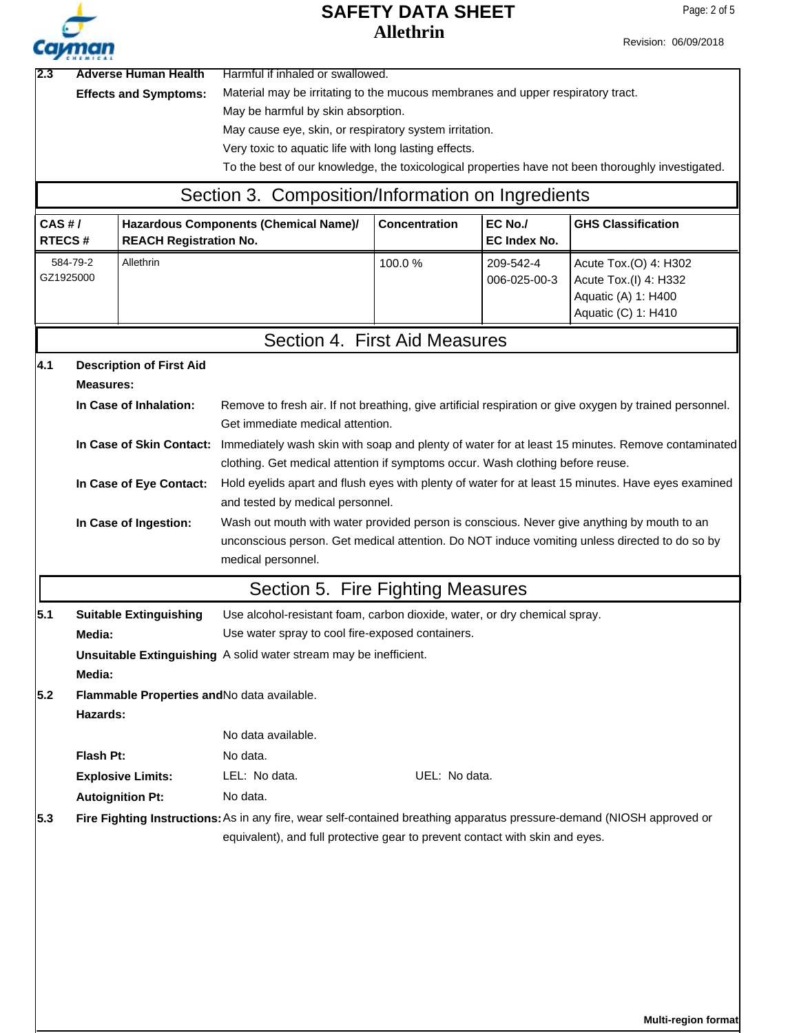

**Multi-region format**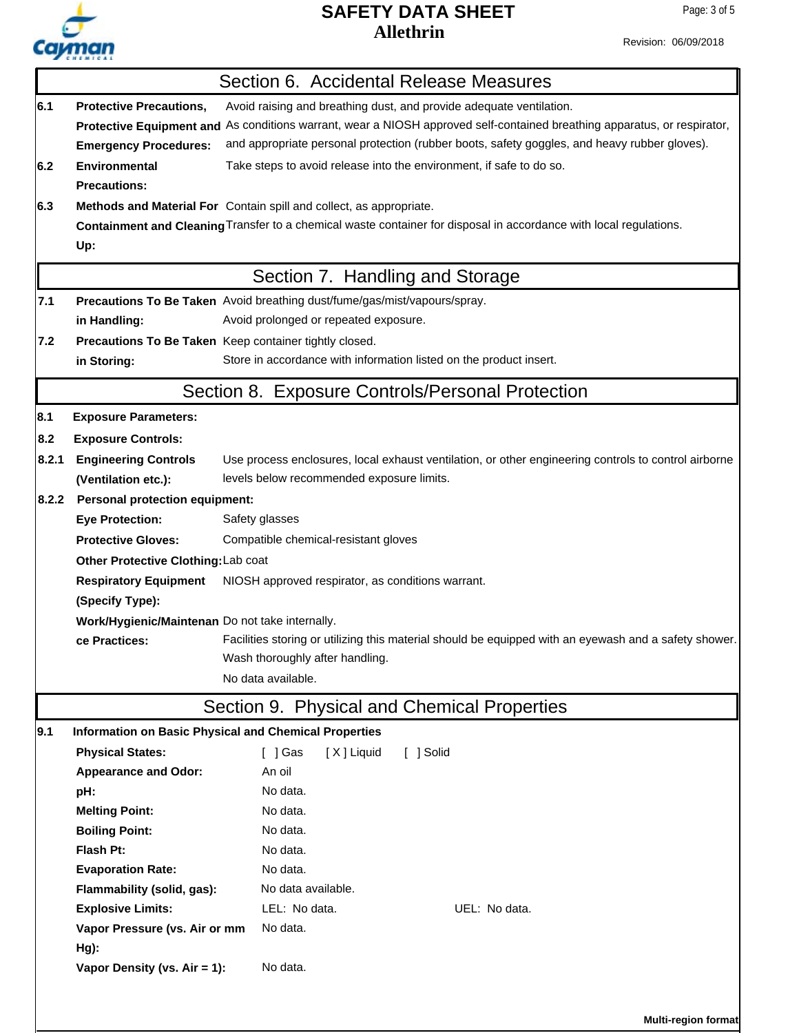

Revision: 06/09/2018

|                                                                                   |                                                 | Section 6. Accidental Release Measures                                                                                   |
|-----------------------------------------------------------------------------------|-------------------------------------------------|--------------------------------------------------------------------------------------------------------------------------|
| 6.1                                                                               | <b>Protective Precautions,</b>                  | Avoid raising and breathing dust, and provide adequate ventilation.                                                      |
|                                                                                   |                                                 | Protective Equipment and As conditions warrant, wear a NIOSH approved self-contained breathing apparatus, or respirator, |
|                                                                                   | <b>Emergency Procedures:</b>                    | and appropriate personal protection (rubber boots, safety goggles, and heavy rubber gloves).                             |
| 6.2                                                                               | <b>Environmental</b>                            | Take steps to avoid release into the environment, if safe to do so.                                                      |
|                                                                                   | <b>Precautions:</b>                             |                                                                                                                          |
| 6.3                                                                               |                                                 | Methods and Material For Contain spill and collect, as appropriate.                                                      |
|                                                                                   |                                                 | Containment and Cleaning Transfer to a chemical waste container for disposal in accordance with local regulations.       |
|                                                                                   | Up:                                             |                                                                                                                          |
|                                                                                   |                                                 | Section 7. Handling and Storage                                                                                          |
| 7.1                                                                               |                                                 | Precautions To Be Taken Avoid breathing dust/fume/gas/mist/vapours/spray.                                                |
|                                                                                   | in Handling:                                    | Avoid prolonged or repeated exposure.                                                                                    |
| 7.2                                                                               |                                                 | Precautions To Be Taken Keep container tightly closed.                                                                   |
| Store in accordance with information listed on the product insert.<br>in Storing: |                                                 |                                                                                                                          |
|                                                                                   |                                                 | Section 8. Exposure Controls/Personal Protection                                                                         |
| 8.1                                                                               | <b>Exposure Parameters:</b>                     |                                                                                                                          |
| 8.2                                                                               | <b>Exposure Controls:</b>                       |                                                                                                                          |
| 8.2.1                                                                             | <b>Engineering Controls</b>                     | Use process enclosures, local exhaust ventilation, or other engineering controls to control airborne                     |
|                                                                                   | (Ventilation etc.):                             | levels below recommended exposure limits.                                                                                |
| 8.2.2                                                                             | <b>Personal protection equipment:</b>           |                                                                                                                          |
|                                                                                   | <b>Eye Protection:</b>                          | Safety glasses                                                                                                           |
|                                                                                   | <b>Protective Gloves:</b>                       | Compatible chemical-resistant gloves                                                                                     |
|                                                                                   | Other Protective Clothing: Lab coat             |                                                                                                                          |
|                                                                                   | <b>Respiratory Equipment</b>                    | NIOSH approved respirator, as conditions warrant.                                                                        |
|                                                                                   | (Specify Type):                                 |                                                                                                                          |
|                                                                                   | Work/Hygienic/Maintenan Do not take internally. |                                                                                                                          |
|                                                                                   | ce Practices:                                   | Facilities storing or utilizing this material should be equipped with an eyewash and a safety shower.                    |
|                                                                                   |                                                 | Wash thoroughly after handling.                                                                                          |
|                                                                                   |                                                 | No data available.                                                                                                       |
|                                                                                   |                                                 | Section 9. Physical and Chemical Properties                                                                              |
| 9.1                                                                               |                                                 | Information on Basic Physical and Chemical Properties                                                                    |
|                                                                                   | <b>Physical States:</b>                         | $\lceil$   Gas<br>[X] Liquid<br>[ ] Solid                                                                                |
|                                                                                   | <b>Appearance and Odor:</b>                     | An oil                                                                                                                   |
|                                                                                   | pH:                                             | No data.                                                                                                                 |
|                                                                                   | <b>Melting Point:</b>                           | No data.                                                                                                                 |
|                                                                                   | <b>Boiling Point:</b>                           | No data.                                                                                                                 |
|                                                                                   | Flash Pt:                                       | No data.                                                                                                                 |
|                                                                                   | <b>Evaporation Rate:</b>                        | No data.                                                                                                                 |
|                                                                                   | Flammability (solid, gas):                      | No data available.                                                                                                       |
|                                                                                   | <b>Explosive Limits:</b>                        | LEL: No data.<br>UEL: No data.                                                                                           |
|                                                                                   | Vapor Pressure (vs. Air or mm                   | No data.                                                                                                                 |
|                                                                                   | Hg):                                            |                                                                                                                          |
|                                                                                   | Vapor Density (vs. Air = 1):                    | No data.                                                                                                                 |
|                                                                                   |                                                 |                                                                                                                          |
|                                                                                   |                                                 | <b>Multi-region format</b>                                                                                               |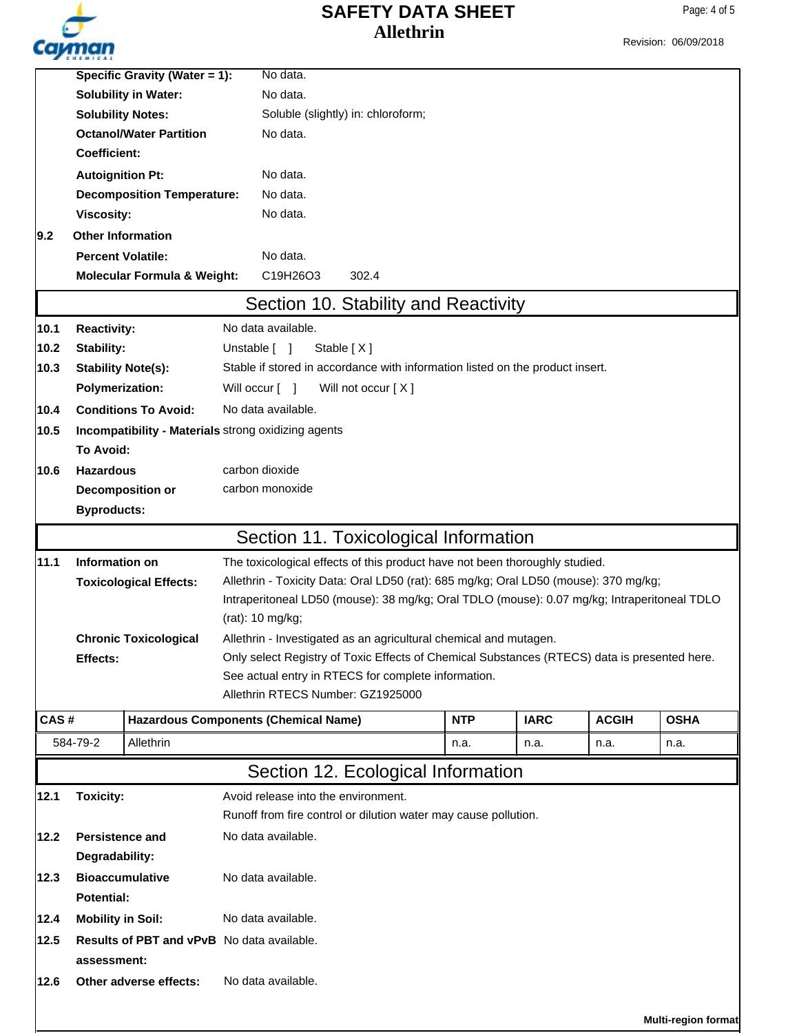|                | Cayman                                                                                                   |                                                     |          |                                                                                                                 |                                                                               |            |             |              | Revision: 06/09/2018 |  |
|----------------|----------------------------------------------------------------------------------------------------------|-----------------------------------------------------|----------|-----------------------------------------------------------------------------------------------------------------|-------------------------------------------------------------------------------|------------|-------------|--------------|----------------------|--|
|                |                                                                                                          | <b>Specific Gravity (Water = 1):</b>                |          | No data.                                                                                                        |                                                                               |            |             |              |                      |  |
|                | <b>Solubility in Water:</b><br><b>Solubility Notes:</b>                                                  |                                                     |          | No data.<br>Soluble (slightly) in: chloroform;                                                                  |                                                                               |            |             |              |                      |  |
|                |                                                                                                          |                                                     |          |                                                                                                                 |                                                                               |            |             |              |                      |  |
|                |                                                                                                          | <b>Octanol/Water Partition</b>                      |          | No data.                                                                                                        |                                                                               |            |             |              |                      |  |
|                | <b>Coefficient:</b>                                                                                      |                                                     |          |                                                                                                                 |                                                                               |            |             |              |                      |  |
|                |                                                                                                          | <b>Autoignition Pt:</b>                             |          | No data.                                                                                                        |                                                                               |            |             |              |                      |  |
|                |                                                                                                          | <b>Decomposition Temperature:</b>                   |          | No data.                                                                                                        |                                                                               |            |             |              |                      |  |
|                | <b>Viscosity:</b>                                                                                        |                                                     |          | No data.                                                                                                        |                                                                               |            |             |              |                      |  |
| 9.2            |                                                                                                          | <b>Other Information</b>                            |          |                                                                                                                 |                                                                               |            |             |              |                      |  |
|                | <b>Percent Volatile:</b>                                                                                 |                                                     | No data. |                                                                                                                 |                                                                               |            |             |              |                      |  |
|                |                                                                                                          | <b>Molecular Formula &amp; Weight:</b>              |          | C19H26O3                                                                                                        | 302.4                                                                         |            |             |              |                      |  |
|                |                                                                                                          |                                                     |          |                                                                                                                 | Section 10. Stability and Reactivity                                          |            |             |              |                      |  |
| 10.1           | <b>Reactivity:</b>                                                                                       |                                                     |          | No data available.                                                                                              |                                                                               |            |             |              |                      |  |
| 10.2           | Stability:                                                                                               |                                                     |          | Unstable [ ]                                                                                                    | Stable $[X]$                                                                  |            |             |              |                      |  |
| 10.3           |                                                                                                          | <b>Stability Note(s):</b>                           |          |                                                                                                                 | Stable if stored in accordance with information listed on the product insert. |            |             |              |                      |  |
|                |                                                                                                          | <b>Polymerization:</b>                              |          | Will occur [ ]                                                                                                  | Will not occur [X]                                                            |            |             |              |                      |  |
| 10.4           |                                                                                                          | <b>Conditions To Avoid:</b>                         |          | No data available.                                                                                              |                                                                               |            |             |              |                      |  |
| 10.5           |                                                                                                          | Incompatibility - Materials strong oxidizing agents |          |                                                                                                                 |                                                                               |            |             |              |                      |  |
|                | <b>To Avoid:</b>                                                                                         |                                                     |          |                                                                                                                 |                                                                               |            |             |              |                      |  |
| 10.6           | <b>Hazardous</b>                                                                                         |                                                     |          | carbon dioxide                                                                                                  |                                                                               |            |             |              |                      |  |
|                | carbon monoxide<br>Decomposition or                                                                      |                                                     |          |                                                                                                                 |                                                                               |            |             |              |                      |  |
|                | <b>Byproducts:</b>                                                                                       |                                                     |          |                                                                                                                 |                                                                               |            |             |              |                      |  |
|                |                                                                                                          |                                                     |          |                                                                                                                 | Section 11. Toxicological Information                                         |            |             |              |                      |  |
| 11.1           | Information on                                                                                           |                                                     |          | The toxicological effects of this product have not been thoroughly studied.                                     |                                                                               |            |             |              |                      |  |
|                | <b>Toxicological Effects:</b>                                                                            |                                                     |          | Allethrin - Toxicity Data: Oral LD50 (rat): 685 mg/kg; Oral LD50 (mouse): 370 mg/kg;                            |                                                                               |            |             |              |                      |  |
|                |                                                                                                          |                                                     |          | Intraperitoneal LD50 (mouse): 38 mg/kg; Oral TDLO (mouse): 0.07 mg/kg; Intraperitoneal TDLO<br>(rat): 10 mg/kg; |                                                                               |            |             |              |                      |  |
|                | Allethrin - Investigated as an agricultural chemical and mutagen.<br><b>Chronic Toxicological</b>        |                                                     |          |                                                                                                                 |                                                                               |            |             |              |                      |  |
|                | Only select Registry of Toxic Effects of Chemical Substances (RTECS) data is presented here.<br>Effects: |                                                     |          |                                                                                                                 |                                                                               |            |             |              |                      |  |
|                | See actual entry in RTECS for complete information.                                                      |                                                     |          |                                                                                                                 |                                                                               |            |             |              |                      |  |
|                |                                                                                                          |                                                     |          |                                                                                                                 | Allethrin RTECS Number: GZ1925000                                             |            |             |              |                      |  |
| CAS#           |                                                                                                          | <b>Hazardous Components (Chemical Name)</b>         |          |                                                                                                                 |                                                                               | <b>NTP</b> | <b>IARC</b> | <b>ACGIH</b> | <b>OSHA</b>          |  |
|                | 584-79-2                                                                                                 | Allethrin                                           |          |                                                                                                                 |                                                                               | n.a.       | n.a.        | n.a.         | n.a.                 |  |
|                |                                                                                                          |                                                     |          |                                                                                                                 | Section 12. Ecological Information                                            |            |             |              |                      |  |
| 12.1           | <b>Toxicity:</b>                                                                                         |                                                     |          | Avoid release into the environment.                                                                             |                                                                               |            |             |              |                      |  |
|                |                                                                                                          |                                                     |          | Runoff from fire control or dilution water may cause pollution.                                                 |                                                                               |            |             |              |                      |  |
| 12.2           |                                                                                                          | <b>Persistence and</b>                              |          | No data available.                                                                                              |                                                                               |            |             |              |                      |  |
| Degradability: |                                                                                                          |                                                     |          |                                                                                                                 |                                                                               |            |             |              |                      |  |
| 12.3           |                                                                                                          | <b>Bioaccumulative</b>                              |          | No data available.                                                                                              |                                                                               |            |             |              |                      |  |
|                | <b>Potential:</b>                                                                                        |                                                     |          |                                                                                                                 |                                                                               |            |             |              |                      |  |

- **12.4 12.5 Results of PBT and vPvB** No data available. **Mobility in Soil:** No data available. **assessment:**
- **12.6 Other adverse effects:** No data available.

**Multi-region format**